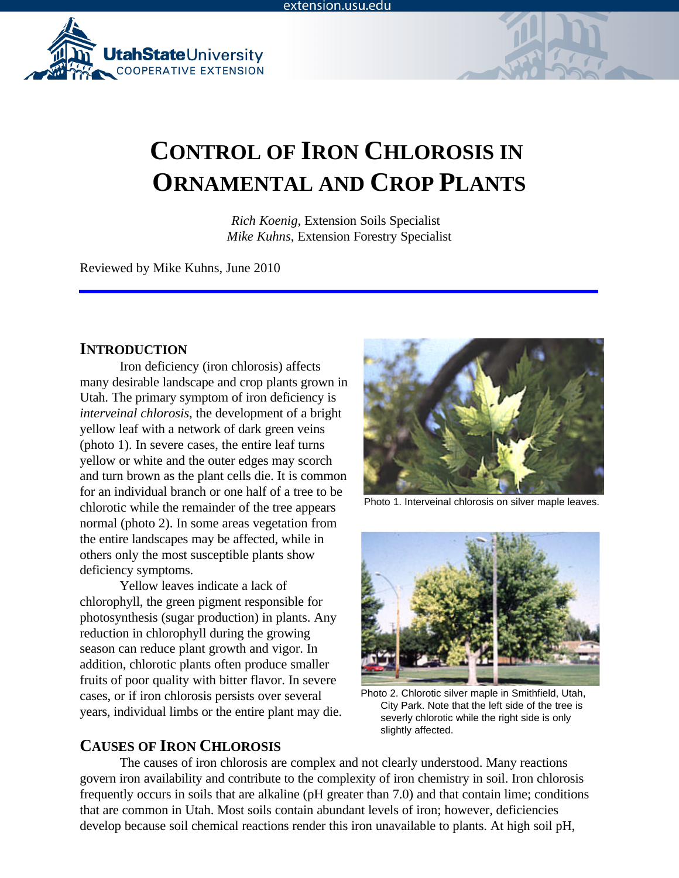

# **CONTROL OF IRON CHLOROSIS IN ORNAMENTAL AND CROP PLANTS**

*Rich Koenig*, Extension Soils Specialist *Mike Kuhns*, Extension Forestry Specialist

Reviewed by Mike Kuhns, June 2010

### **INTRODUCTION**

Iron deficiency (iron chlorosis) affects many desirable landscape and crop plants grown in Utah. The primary symptom of iron deficiency is *interveinal chlorosis*, the development of a bright yellow leaf with a network of dark green veins (photo 1). In severe cases, the entire leaf turns yellow or white and the outer edges may scorch and turn brown as the plant cells die. It is common for an individual branch or one half of a tree to be chlorotic while the remainder of the tree appears normal (photo 2). In some areas vegetation from the entire landscapes may be affected, while in others only the most susceptible plants show deficiency symptoms.

Yellow leaves indicate a lack of chlorophyll, the green pigment responsible for photosynthesis (sugar production) in plants. Any reduction in chlorophyll during the growing season can reduce plant growth and vigor. In addition, chlorotic plants often produce smaller fruits of poor quality with bitter flavor. In severe cases, or if iron chlorosis persists over several years, individual limbs or the entire plant may die.

## **CAUSES OF IRON CHLOROSIS**



Photo 1. Interveinal chlorosis on silver maple leaves.



Photo 2. Chlorotic silver maple in Smithfield, Utah, City Park. Note that the left side of the tree is severly chlorotic while the right side is only slightly affected.

The causes of iron chlorosis are complex and not clearly understood. Many reactions govern iron availability and contribute to the complexity of iron chemistry in soil. Iron chlorosis frequently occurs in soils that are alkaline (pH greater than 7.0) and that contain lime; conditions that are common in Utah. Most soils contain abundant levels of iron; however, deficiencies develop because soil chemical reactions render this iron unavailable to plants. At high soil pH,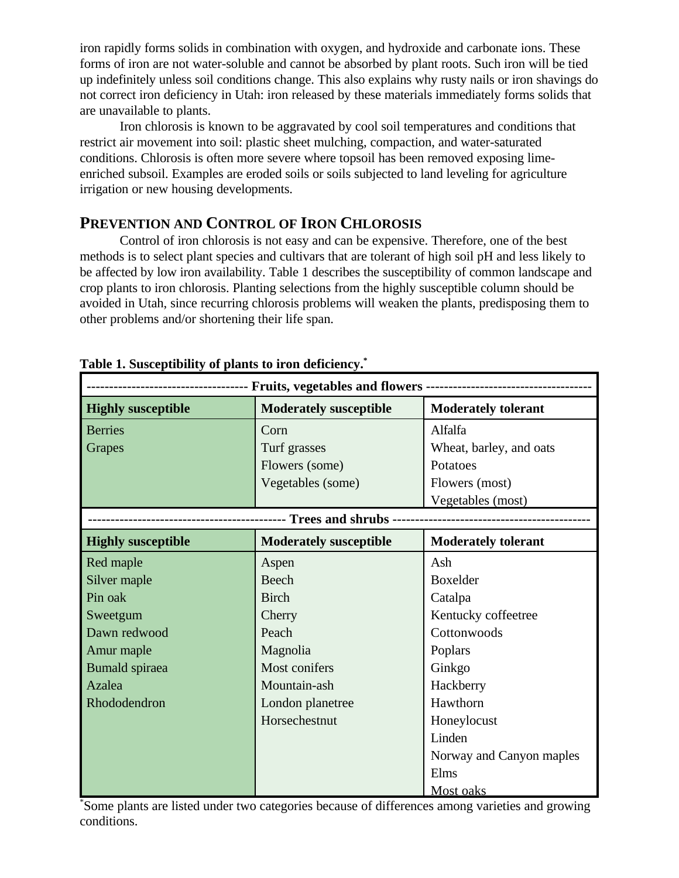iron rapidly forms solids in combination with oxygen, and hydroxide and carbonate ions. These forms of iron are not water-soluble and cannot be absorbed by plant roots. Such iron will be tied up indefinitely unless soil conditions change. This also explains why rusty nails or iron shavings do not correct iron deficiency in Utah: iron released by these materials immediately forms solids that are unavailable to plants.

Iron chlorosis is known to be aggravated by cool soil temperatures and conditions that restrict air movement into soil: plastic sheet mulching, compaction, and water-saturated conditions. Chlorosis is often more severe where topsoil has been removed exposing limeenriched subsoil. Examples are eroded soils or soils subjected to land leveling for agriculture irrigation or new housing developments.

## **PREVENTION AND CONTROL OF IRON CHLOROSIS**

Control of iron chlorosis is not easy and can be expensive. Therefore, one of the best methods is to select plant species and cultivars that are tolerant of high soil pH and less likely to be affected by low iron availability. Table 1 describes the susceptibility of common landscape and crop plants to iron chlorosis. Planting selections from the highly susceptible column should be avoided in Utah, since recurring chlorosis problems will weaken the plants, predisposing them to other problems and/or shortening their life span.

| ne is susceptionly of planes to from activities<br>--------------------- Fruits, vegetables and flowers - |                               |                            |  |
|-----------------------------------------------------------------------------------------------------------|-------------------------------|----------------------------|--|
| <b>Highly susceptible</b>                                                                                 | <b>Moderately susceptible</b> | <b>Moderately tolerant</b> |  |
| <b>Berries</b>                                                                                            | Corn                          | Alfalfa                    |  |
| Grapes                                                                                                    | Turf grasses                  | Wheat, barley, and oats    |  |
|                                                                                                           | Flowers (some)                | Potatoes                   |  |
|                                                                                                           | Vegetables (some)             | Flowers (most)             |  |
|                                                                                                           |                               | Vegetables (most)          |  |
|                                                                                                           | -- Trees and shrubs           |                            |  |
| <b>Highly susceptible</b>                                                                                 | <b>Moderately susceptible</b> | <b>Moderately tolerant</b> |  |
| Red maple                                                                                                 | Aspen                         | Ash                        |  |
| Silver maple                                                                                              | Beech                         | <b>Boxelder</b>            |  |
| Pin oak                                                                                                   | <b>Birch</b>                  | Catalpa                    |  |
| Sweetgum                                                                                                  | Cherry                        | Kentucky coffeetree        |  |
| Dawn redwood                                                                                              | Peach                         | Cottonwoods                |  |
| Amur maple                                                                                                | Magnolia                      | Poplars                    |  |
| <b>Bumald</b> spiraea                                                                                     | Most conifers                 | Ginkgo                     |  |
| Azalea                                                                                                    | Mountain-ash                  | Hackberry                  |  |
| Rhododendron                                                                                              | London planetree              | Hawthorn                   |  |
|                                                                                                           | Horsechestnut                 | Honeylocust                |  |
|                                                                                                           |                               | Linden                     |  |
|                                                                                                           |                               | Norway and Canyon maples   |  |
|                                                                                                           |                               | Elms                       |  |
|                                                                                                           |                               | Most oaks                  |  |

| Table 1. Susceptibility of plants to iron deficiency. <sup>*</sup> |  |  |  |
|--------------------------------------------------------------------|--|--|--|
|                                                                    |  |  |  |

Some plants are listed under two categories because of differences among varieties and growing \* conditions.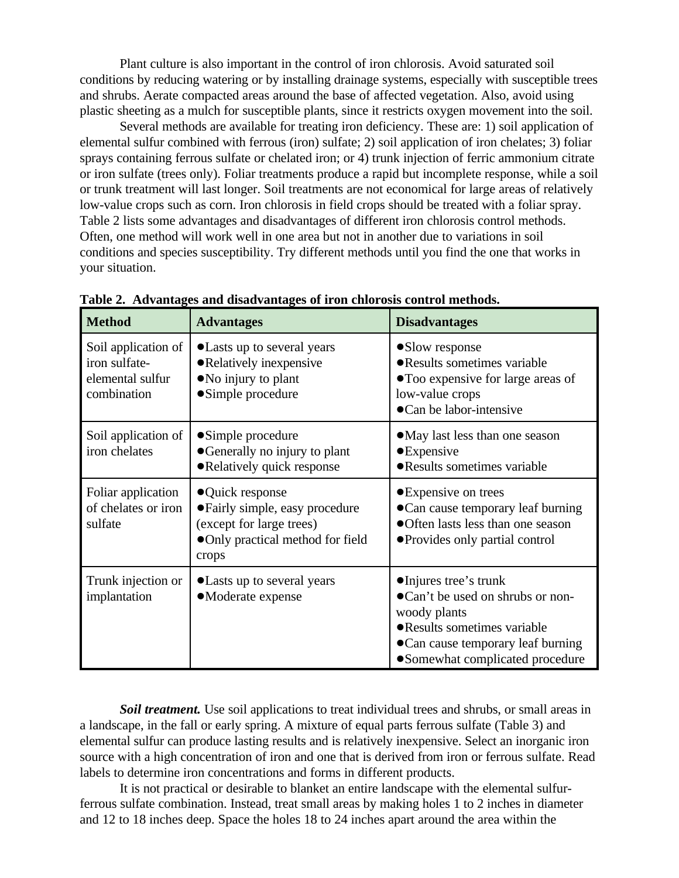Plant culture is also important in the control of iron chlorosis. Avoid saturated soil conditions by reducing watering or by installing drainage systems, especially with susceptible trees and shrubs. Aerate compacted areas around the base of affected vegetation. Also, avoid using plastic sheeting as a mulch for susceptible plants, since it restricts oxygen movement into the soil.

Several methods are available for treating iron deficiency. These are: 1) soil application of elemental sulfur combined with ferrous (iron) sulfate; 2) soil application of iron chelates; 3) foliar sprays containing ferrous sulfate or chelated iron; or 4) trunk injection of ferric ammonium citrate or iron sulfate (trees only). Foliar treatments produce a rapid but incomplete response, while a soil or trunk treatment will last longer. Soil treatments are not economical for large areas of relatively low-value crops such as corn. Iron chlorosis in field crops should be treated with a foliar spray. Table 2 lists some advantages and disadvantages of different iron chlorosis control methods. Often, one method will work well in one area but not in another due to variations in soil conditions and species susceptibility. Try different methods until you find the one that works in your situation.

| <b>Method</b>                                                           | <b>Advantages</b>                                                                                                             | <b>Disadvantages</b>                                                                                                                                                                 |
|-------------------------------------------------------------------------|-------------------------------------------------------------------------------------------------------------------------------|--------------------------------------------------------------------------------------------------------------------------------------------------------------------------------------|
| Soil application of<br>iron sulfate-<br>elemental sulfur<br>combination | • Lasts up to several years<br>• Relatively inexpensive<br>• No injury to plant<br>• Simple procedure                         | •Slow response<br>· Results sometimes variable<br>• Too expensive for large areas of<br>low-value crops<br>•Can be labor-intensive                                                   |
| Soil application of<br>iron chelates                                    | • Simple procedure<br>• Generally no injury to plant<br>• Relatively quick response                                           | • May last less than one season<br>$\bullet$ Expensive<br>• Results sometimes variable                                                                                               |
| Foliar application<br>of chelates or iron<br>sulfate                    | ● Quick response<br>• Fairly simple, easy procedure<br>(except for large trees)<br>• Only practical method for field<br>crops | • Expensive on trees<br>• Can cause temporary leaf burning<br>• Often lasts less than one season<br>• Provides only partial control                                                  |
| Trunk injection or<br>implantation                                      | • Lasts up to several years<br>•Moderate expense                                                                              | • Injures tree's trunk<br>•Can't be used on shrubs or non-<br>woody plants<br>• Results sometimes variable<br>• Can cause temporary leaf burning<br>• Somewhat complicated procedure |

**Table 2. Advantages and disadvantages of iron chlorosis control methods.**

**Soil treatment.** Use soil applications to treat individual trees and shrubs, or small areas in a landscape, in the fall or early spring. A mixture of equal parts ferrous sulfate (Table 3) and elemental sulfur can produce lasting results and is relatively inexpensive. Select an inorganic iron source with a high concentration of iron and one that is derived from iron or ferrous sulfate. Read labels to determine iron concentrations and forms in different products.

It is not practical or desirable to blanket an entire landscape with the elemental sulfurferrous sulfate combination. Instead, treat small areas by making holes 1 to 2 inches in diameter and 12 to 18 inches deep. Space the holes 18 to 24 inches apart around the area within the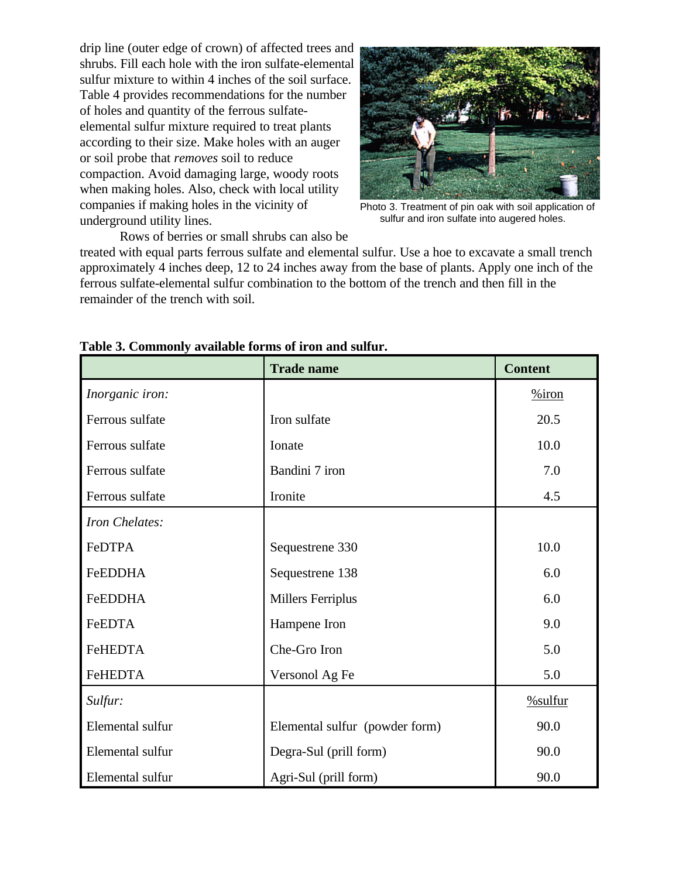drip line (outer edge of crown) of affected trees and shrubs. Fill each hole with the iron sulfate-elemental sulfur mixture to within 4 inches of the soil surface. Table 4 provides recommendations for the number of holes and quantity of the ferrous sulfateelemental sulfur mixture required to treat plants according to their size. Make holes with an auger or soil probe that *removes* soil to reduce compaction. Avoid damaging large, woody roots when making holes. Also, check with local utility companies if making holes in the vicinity of underground utility lines.



Photo 3. Treatment of pin oak with soil application of sulfur and iron sulfate into augered holes.

Rows of berries or small shrubs can also be

treated with equal parts ferrous sulfate and elemental sulfur. Use a hoe to excavate a small trench approximately 4 inches deep, 12 to 24 inches away from the base of plants. Apply one inch of the ferrous sulfate-elemental sulfur combination to the bottom of the trench and then fill in the remainder of the trench with soil.

|                  | <b>Trade name</b>              | <b>Content</b> |
|------------------|--------------------------------|----------------|
| Inorganic iron:  |                                | $%$ iron       |
| Ferrous sulfate  | Iron sulfate                   | 20.5           |
| Ferrous sulfate  | Ionate                         | 10.0           |
| Ferrous sulfate  | Bandini 7 iron                 | 7.0            |
| Ferrous sulfate  | Ironite                        | 4.5            |
| Iron Chelates:   |                                |                |
| FeDTPA           | Sequestrene 330                | 10.0           |
| <b>FeEDDHA</b>   | Sequestrene 138                | 6.0            |
| <b>FeEDDHA</b>   | <b>Millers Ferriplus</b>       | 6.0            |
| FeEDTA           | Hampene Iron                   | 9.0            |
| <b>FeHEDTA</b>   | Che-Gro Iron                   | 5.0            |
| FeHEDTA          | Versonol Ag Fe                 | 5.0            |
| Sulfur:          |                                | $%$ sulfur     |
| Elemental sulfur | Elemental sulfur (powder form) | 90.0           |
| Elemental sulfur | Degra-Sul (prill form)         | 90.0           |
| Elemental sulfur | Agri-Sul (prill form)          | 90.0           |

#### **Table 3. Commonly available forms of iron and sulfur.**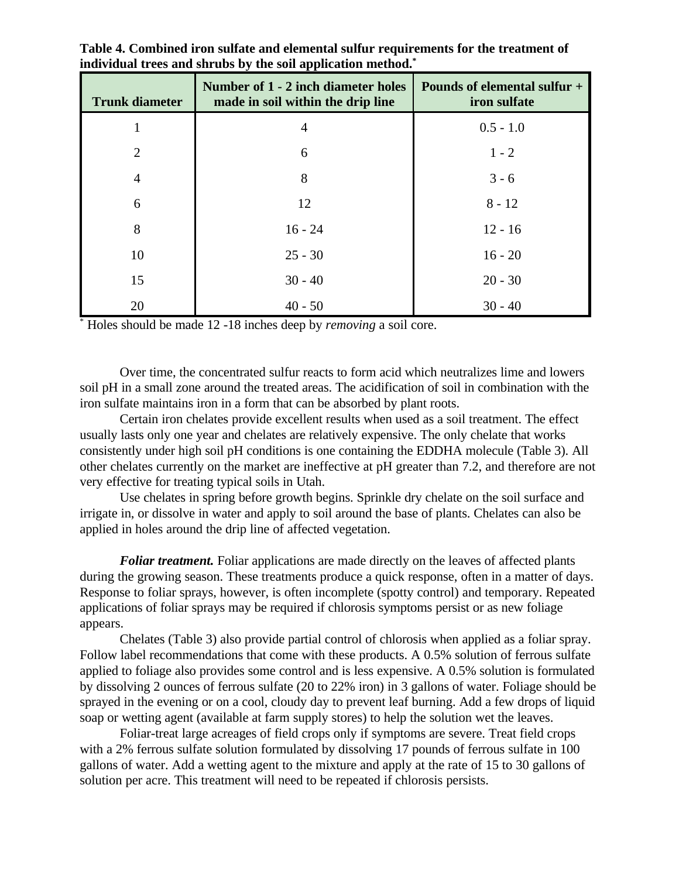| <b>Trunk diameter</b> | Number of 1 - 2 inch diameter holes<br>made in soil within the drip line | Pounds of elemental sulfur +<br>iron sulfate |
|-----------------------|--------------------------------------------------------------------------|----------------------------------------------|
|                       | 4                                                                        | $0.5 - 1.0$                                  |
| $\overline{2}$        | 6                                                                        | $1 - 2$                                      |
| $\overline{4}$        | 8                                                                        | $3 - 6$                                      |
| 6                     | 12                                                                       | $8 - 12$                                     |
| 8                     | $16 - 24$                                                                | $12 - 16$                                    |
| 10                    | $25 - 30$                                                                | $16 - 20$                                    |
| 15                    | $30 - 40$                                                                | $20 - 30$                                    |
| 20                    | $40 - 50$                                                                | $30 - 40$                                    |

**Table 4. Combined iron sulfate and elemental sulfur requirements for the treatment of individual trees and shrubs by the soil application method.\***

Holes should be made 12 -18 inches deep by *removing* a soil core. \*

Over time, the concentrated sulfur reacts to form acid which neutralizes lime and lowers soil pH in a small zone around the treated areas. The acidification of soil in combination with the iron sulfate maintains iron in a form that can be absorbed by plant roots.

Certain iron chelates provide excellent results when used as a soil treatment. The effect usually lasts only one year and chelates are relatively expensive. The only chelate that works consistently under high soil pH conditions is one containing the EDDHA molecule (Table 3). All other chelates currently on the market are ineffective at pH greater than 7.2, and therefore are not very effective for treating typical soils in Utah.

Use chelates in spring before growth begins. Sprinkle dry chelate on the soil surface and irrigate in, or dissolve in water and apply to soil around the base of plants. Chelates can also be applied in holes around the drip line of affected vegetation.

*Foliar treatment.* Foliar applications are made directly on the leaves of affected plants during the growing season. These treatments produce a quick response, often in a matter of days. Response to foliar sprays, however, is often incomplete (spotty control) and temporary. Repeated applications of foliar sprays may be required if chlorosis symptoms persist or as new foliage appears.

Chelates (Table 3) also provide partial control of chlorosis when applied as a foliar spray. Follow label recommendations that come with these products. A 0.5% solution of ferrous sulfate applied to foliage also provides some control and is less expensive. A 0.5% solution is formulated by dissolving 2 ounces of ferrous sulfate (20 to 22% iron) in 3 gallons of water. Foliage should be sprayed in the evening or on a cool, cloudy day to prevent leaf burning. Add a few drops of liquid soap or wetting agent (available at farm supply stores) to help the solution wet the leaves.

Foliar-treat large acreages of field crops only if symptoms are severe. Treat field crops with a 2% ferrous sulfate solution formulated by dissolving 17 pounds of ferrous sulfate in 100 gallons of water. Add a wetting agent to the mixture and apply at the rate of 15 to 30 gallons of solution per acre. This treatment will need to be repeated if chlorosis persists.